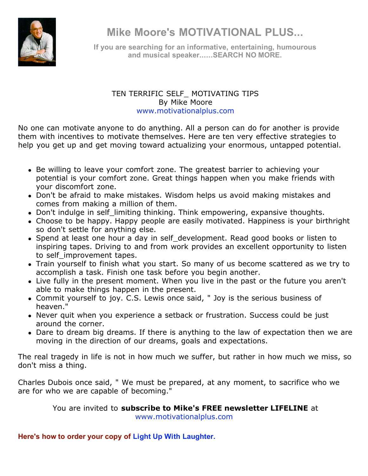

**Mike Moore's MOTIVATIONAL PLUS...**

**If you are searching for an informative, entertaining, humourous and musical speaker......SEARCH NO MORE.**

## TEN TERRIFIC SELF\_ MOTIVATING TIPS By Mike Moore www.motivationalplus.com

No one can motivate anyone to do anything. All a person can do for another is provide them with incentives to motivate themselves. Here are ten very effective strategies to help you get up and get moving toward actualizing your enormous, untapped potential.

- Be willing to leave your comfort zone. The greatest barrier to achieving your potential is your comfort zone. Great things happen when you make friends with your discomfort zone.
- Don't be afraid to make mistakes. Wisdom helps us avoid making mistakes and comes from making a million of them.
- Don't indulge in self limiting thinking. Think empowering, expansive thoughts.
- Choose to be happy. Happy people are easily motivated. Happiness is your birthright so don't settle for anything else.
- Spend at least one hour a day in self development. Read good books or listen to inspiring tapes. Driving to and from work provides an excellent opportunity to listen to self improvement tapes.
- Train yourself to finish what you start. So many of us become scattered as we try to accomplish a task. Finish one task before you begin another.
- Live fully in the present moment. When you live in the past or the future you aren't able to make things happen in the present.
- Commit yourself to joy. C.S. Lewis once said, " Joy is the serious business of heaven."
- Never quit when you experience a setback or frustration. Success could be just around the corner.
- Dare to dream big dreams. If there is anything to the law of expectation then we are moving in the direction of our dreams, goals and expectations.

The real tragedy in life is not in how much we suffer, but rather in how much we miss, so don't miss a thing.

Charles Dubois once said, " We must be prepared, at any moment, to sacrifice who we are for who we are capable of becoming."

> You are invited to **subscribe to Mike's FREE newsletter LIFELINE** at www.motivationalplus.com

**Here's how to order your copy of Light Up With Laughter.**